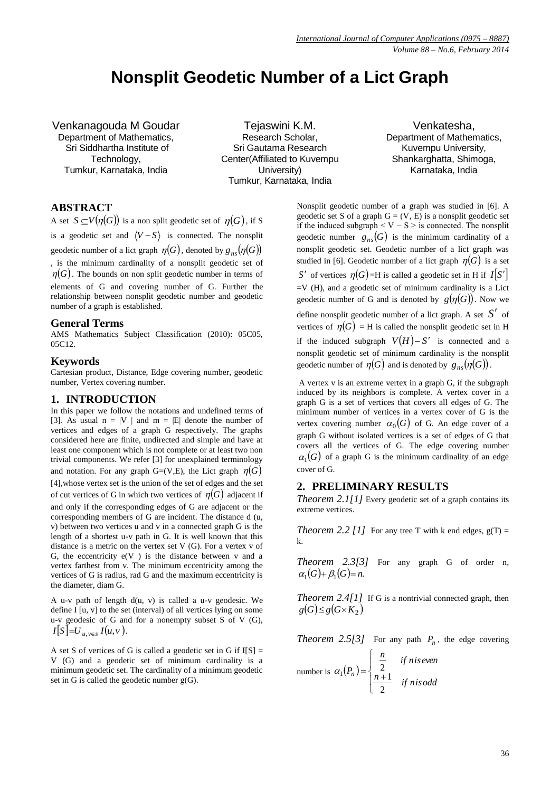# **Nonsplit Geodetic Number of a Lict Graph**

Venkanagouda M Goudar Department of Mathematics, Sri Siddhartha Institute of Technology, Tumkur, Karnataka, India

Tejaswini K.M. Research Scholar, Sri Gautama Research Center(Affiliated to Kuvempu University) Tumkur, Karnataka, India

Venkatesha, Department of Mathematics, Kuvempu University, Shankarghatta, Shimoga, Karnataka, India

# **ABSTRACT**

A set  $S \subseteq V(\eta(G))$  is a non split geodetic set of  $\eta(G)$ , if S is a geodetic set and  $\langle V - S \rangle$  is connected. The nonsplit geodetic number of a lict graph  $\eta(G)$ , denoted by  $g_{ns}(\eta(G))$ , is the minimum cardinality of a nonsplit geodetic set of  $\eta(G)$ . The bounds on non split geodetic number in terms of elements of G and covering number of G. Further the relationship between nonsplit geodetic number and geodetic number of a graph is established.

## **General Terms**

AMS Mathematics Subject Classification (2010): 05C05, 05C12.

#### **Keywords**

Cartesian product, Distance, Edge covering number, geodetic number, Vertex covering number.

## **1. INTRODUCTION**

In this paper we follow the notations and undefined terms of [3]. As usual  $n = |V|$  and  $m = |E|$  denote the number of vertices and edges of a graph G respectively. The graphs considered here are finite, undirected and simple and have at least one component which is not complete or at least two non trivial components. We refer [3] for unexplained terminology and notation. For any graph G=(V,E), the Lict graph  $\eta(G)$ [4],whose vertex set is the union of the set of edges and the set of cut vertices of G in which two vertices of  $\eta(G)$  adjacent if and only if the corresponding edges of G are adjacent or the corresponding members of G are incident. The distance d (u, v) between two vertices u and v in a connected graph G is the length of a shortest u-v path in G. It is well known that this distance is a metric on the vertex set V (G). For a vertex v of G, the eccentricity  $e(V)$  is the distance between v and a vertex farthest from v. The minimum eccentricity among the vertices of G is radius, rad G and the maximum eccentricity is the diameter, diam G.

A u-v path of length d(u, v) is called a u-v geodesic. We define I [u, v] to the set (interval) of all vertices lying on some u-v geodesic of G and for a nonempty subset S of V (G),  $I[S] = U_{u,v \in S} I(u,v)$ .

A set S of vertices of G is called a geodetic set in G if  $I[S] =$ V (G) and a geodetic set of minimum cardinality is a minimum geodetic set. The cardinality of a minimum geodetic set in G is called the geodetic number  $g(G)$ .

Nonsplit geodetic number of a graph was studied in [6]. A geodetic set S of a graph  $G = (V, E)$  is a nonsplit geodetic set if the induced subgraph  $\leq V - S \geq$  is connected. The nonsplit geodetic number  $g_{ns}(G)$  is the minimum cardinality of a nonsplit geodetic set. Geodetic number of a lict graph was studied in [6]. Geodetic number of a lict graph  $\eta(G)$  is a set *S*<sup> $\prime$ </sup> of vertices  $\eta(G)$ =H is called a geodetic set in H if  $I[S']$  $=V(H)$ , and a geodetic set of minimum cardinality is a Lict geodetic number of G and is denoted by  $g(\eta(G))$ . Now we define nonsplit geodetic number of a lict graph. A set  $S'$  of vertices of  $\eta(G)$  = H is called the nonsplit geodetic set in H if the induced subgraph  $V(H) - S'$  is connected and a nonsplit geodetic set of minimum cardinality is the nonsplit geodetic number of  $\eta(G)$  and is denoted by  $g_{ns}(\eta(G))$ .

A vertex v is an extreme vertex in a graph G, if the subgraph induced by its neighbors is complete. A vertex cover in a graph G is a set of vertices that covers all edges of G. The minimum number of vertices in a vertex cover of G is the vertex covering number  $\alpha_0(G)$  of G. An edge cover of a graph G without isolated vertices is a set of edges of G that covers all the vertices of G. The edge covering number  $\alpha_1(G)$  of a graph G is the minimum cardinality of an edge cover of G.

# **2. PRELIMINARY RESULTS**

*Theorem 2.1[1]* Every geodetic set of a graph contains its extreme vertices.

*Theorem 2.2 [1]* For any tree T with k end edges,  $g(T) =$ k.

*Theorem 2.3[3]* For any graph G of order n,  $\alpha_1(G) + \beta_1(G) = n.$ 

*Theorem 2.4[1]* If G is a nontrivial connected graph, then  $g(G) \leq g(G \times K_2)$ 

*Theorem 2.5[3]* For any path  $P_n$ , the edge covering

number is  $\alpha_1(P_n)$  $\downarrow$  $\overline{\mathcal{L}}$  $\downarrow$ ₹  $\int$  $=\begin{cases} \frac{2}{n+1} & \text{if } n \text{ is odd} \end{cases}$  $\frac{n}{2}$  *if niseven Pn* 2  $\alpha_1(P_n) = \begin{cases} 2 \\ n+1 \end{cases}$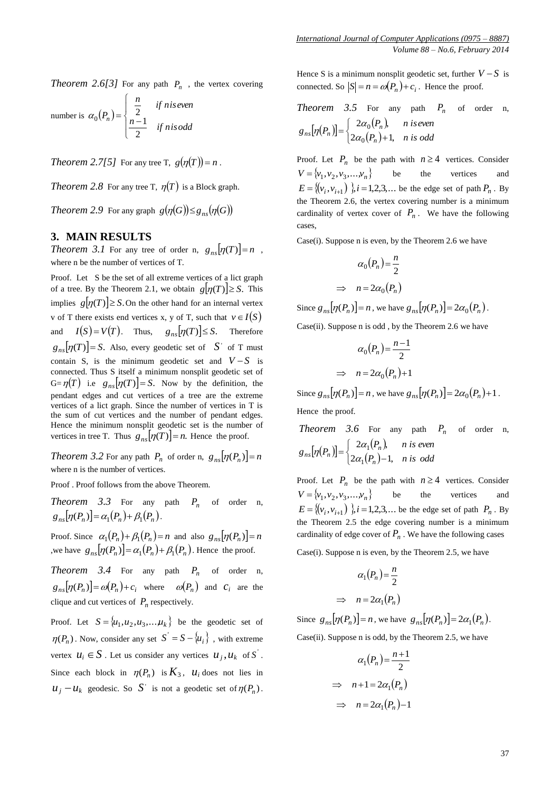*Theorem 2.6[3]* For any path  $P_n$ , the vertex covering

number is 
$$
\alpha_0(P_n) = \begin{cases} \frac{n}{2} & \text{if niseven} \\ \frac{n-1}{2} & \text{if nis odd} \end{cases}
$$

*Theorem 2.7[5]* For any tree T,  $g(\eta(T)) = n$ .

*Theorem* 2.8 For any tree T,  $\eta(T)$  is a Block graph.

*Theorem* 2.9 For any graph  $g(\eta(G)) \leq g_{ns}(\eta(G))$ 

#### **3. MAIN RESULTS**

*Theorem 3.1* For any tree of order n,  $g_{ns}[\eta(T)] = n$ , where n be the number of vertices of T.

Proof. Let S be the set of all extreme vertices of a lict graph of a tree. By the Theorem 2.1, we obtain  $g[\eta(T)] \geq S$ . This implies  $g[\eta(T)] \geq S$ . On the other hand for an internal vertex v of T there exists end vertices x, y of T, such that  $v \in I(S)$ and  $I(S) = V(T)$ . Thus,  $g_{ns}[\eta(T)] \leq S$ . Therefore  $g_{ns}[\eta(T)] = S$ . Also, every geodetic set of  $S'$  of T must contain S, is the minimum geodetic set and  $V-S$  is connected. Thus S itself a minimum nonsplit geodetic set of  $G = \eta(T)$  i.e  $g_{ns}[\eta(T)] = S$ . Now by the definition, the pendant edges and cut vertices of a tree are the extreme vertices of a lict graph. Since the number of vertices in T is the sum of cut vertices and the number of pendant edges. Hence the minimum nonsplit geodetic set is the number of vertices in tree T. Thus  $g_{ns}[\eta(T)] = n$ . Hence the proof.

*Theorem 3.2* For any path  $P_n$  of order n,  $g_{ns}[\eta(P_n)] = n$ where n is the number of vertices.

Proof . Proof follows from the above Theorem.

*Theorem 3.3* For any path  $P_n$  of order n,  $g_{ns}[\eta(P_n)] = \alpha_1(P_n) + \beta_1(P_n)$ .

Proof. Since  $\alpha_1(P_n) + \beta_1(P_n) = n$  and also  $g_{ns}[\eta(P_n)] = n$ we have  $g_{ns}[\eta(P_n)] = \alpha_1(P_n) + \beta_1(P_n)$ . Hence the proof.

*Theorem 3.4* For any path  $P_n$  of order n,  $g_{ns}[\eta(P_n)] = \omega(P_n) + c_i$  where  $\omega(P_n)$  and  $c_i$  are the clique and cut vertices of  $P_n$  respectively.

Proof. Let  $S = \{u_1, u_2, u_3, \dots, u_k\}$  be the geodetic set of  $\eta(P_n)$ . Now, consider any set  $S' = S - \{u_i\}$ , with extreme vertex  $u_i \in S$ . Let us consider any vertices  $u_j, u_k$  of S<sup>'</sup>. Since each block in  $\eta(P_n)$  is  $K_3$ ,  $u_i$  does not lies in  $u_j - u_k$  geodesic. So S<sup>t</sup> is not a geodetic set of  $\eta(P_n)$ . Hence S is a minimum nonsplit geodetic set, further  $V - S$  is connected. So  $|S| = n = \omega(P_n) + c_i$ . Hence the proof.

Theorem 3.5 For any path 
$$
P_n
$$
 of order n,  
\n
$$
g_{ns}[\eta(P_n)] = \begin{cases} 2\alpha_0(P_n), & n \text{ is even} \\ 2\alpha_0(P_n) + 1, & n \text{ is odd} \end{cases}
$$

Proof. Let  $P_n$  be the path with  $n \geq 4$  vertices. Consider  $V = \{v_1, v_2, v_3, \dots, v_n\}$ be the vertices and  $E = \{ (v_i, v_{i+1}) \}$ ,  $i = 1, 2, 3, ...$  be the edge set of path  $P_n$ . By the Theorem 2.6, the vertex covering number is a minimum cardinality of vertex cover of  $P_n$ . We have the following cases,

Case(i). Suppose n is even, by the Theorem 2.6 we have

$$
\alpha_0(P_n) = \frac{n}{2}
$$
  
\n
$$
\Rightarrow n = 2\alpha_0(P_n)
$$

Since  $g_{ns}[\eta(P_n)] = n$ , we have  $g_{ns}[\eta(P_n)] = 2\alpha_0(P_n)$ .

Case(ii). Suppose n is odd , by the Theorem 2.6 we have

$$
\alpha_0(P_n) = \frac{n-1}{2}
$$
  
\n
$$
\Rightarrow n = 2\alpha_0(P_n) + 1
$$

Since  $g_{ns}[\eta(P_n)] = n$ , we have  $g_{ns}[\eta(P_n)] = 2\alpha_0(P_n) + 1$ . Hence the proof.

*Theorem 3.6* For any path  $P_n$  of order n,  $[\eta(P_n)] = \begin{cases} 2\alpha_1(P_n), & \text{if } n \neq n \end{cases}$  $\left(2\alpha_1(P_n)\right)$  $\left\lceil \right\rceil$  $=\begin{cases} 2\alpha_1(r_n), & n \text{ is even} \\ 2\alpha_1(P_n)-1, & n \text{ is odd} \end{cases}$  $g_{ns}[\eta(P_n)] = \begin{cases} 2\alpha_1(P_n), & n \text{ is even} \\ 0 & n \end{cases}$ *n*  $\eta_n[\eta(P_n)] = \begin{cases} 2\alpha_1(P_n), \\ 2\alpha_1(P_n)-1, \end{cases}$  $2\alpha_1(P_n)$  $\overline{1}$  $\overline{1}$  $\alpha$  $[\eta(P_n)]=\left\{\begin{array}{c}2\alpha\\2\alpha\end{array}\right\}$ 

Proof. Let  $P_n$  be the path with  $n \geq 4$  vertices. Consider  $V = \{v_1, v_2, v_3, \dots, v_n\}$ be the vertices and  $E = \{ (v_i, v_{i+1}) \}$ ,  $i = 1, 2, 3, \dots$  be the edge set of path  $P_n$ . By the Theorem 2.5 the edge covering number is a minimum cardinality of edge cover of  $P_n$ . We have the following cases

Case(i). Suppose n is even, by the Theorem 2.5, we have

$$
\alpha_1(P_n) = \frac{n}{2}
$$
  
\n
$$
\Rightarrow n = 2\alpha_1(P_n)
$$

Since  $g_{ns}[\eta(P_n)] = n$ , we have  $g_{ns}[\eta(P_n)] = 2\alpha_1(P_n)$ .

Case(ii). Suppose n is odd, by the Theorem 2.5, we have

$$
\alpha_1(P_n) = \frac{n+1}{2}
$$
  
\n
$$
\Rightarrow n+1 = 2\alpha_1(P_n)
$$
  
\n
$$
\Rightarrow n = 2\alpha_1(P_n) - 1
$$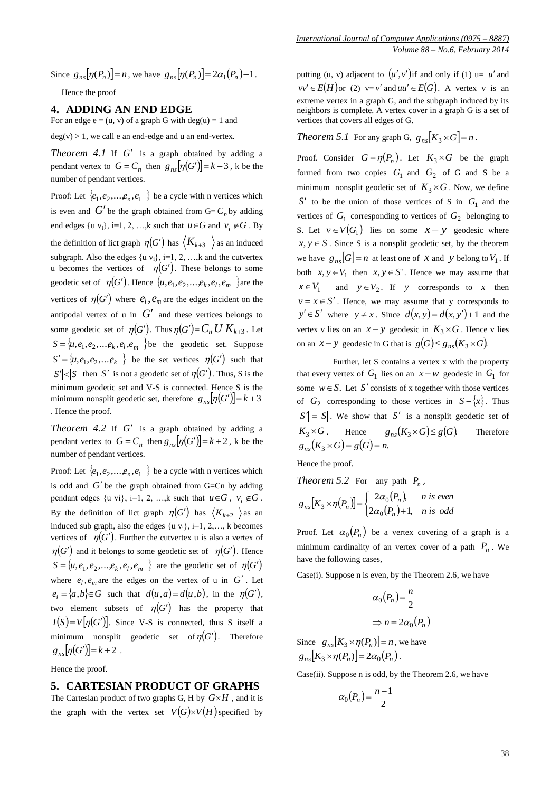Since  $g_{ns}[\eta(P_n)] = n$ , we have  $g_{ns}[\eta(P_n)] = 2\alpha_1(P_n) - 1$ .

Hence the proof

## **4. ADDING AN END EDGE**

For an edge  $e = (u, v)$  of a graph G with deg(u) = 1 and

 $deg(v) > 1$ , we call e an end-edge and u an end-vertex.

*Theorem 4.1* If  $G'$  is a graph obtained by adding a pendant vertex to  $G = C_n$  then  $g_{ns}[\eta(G')] = k + 3$ , k be the number of pendant vertices.

Proof: Let  $\{e_1, e_2, \dots, e_n, e_1\}$  be a cycle with n vertices which is even and  $G'$  be the graph obtained from  $G = C_n$  by adding end edges  $\{u v_i\}$ ,  $i=1, 2, ..., k$  such that  $u \in G$  and  $v_i \notin G$ . By the definition of lict graph  $\eta(G')$  has  $\langle K_{k+3} \rangle$  as an induced subgraph. Also the edges  $\{u v_i\}$ , i=1, 2, ..., k and the cutvertex u becomes the vertices of  $\eta(G')$ . These belongs to some geodetic set of  $\eta(G')$ . Hence  $\{u, e_1, e_2, \dots, e_k, e_l, e_m\}$  are the vertices of  $\eta(G')$  where  $e_l$ ,  $e_m$  are the edges incident on the antipodal vertex of  $\mathfrak u$  in  $G'$  and these vertices belongs to some geodetic set of  $\eta(G')$ . Thus  $\eta(G') = C_n U K_{k+3}$ . Let  $S = \{u, e_1, e_2, \dots, e_k, e_l, e_m\}$  be the geodetic set. Suppose  $S' = \{u, e_1, e_2, \dots, e_k\}$  be the set vertices  $\eta(G')$  such that  $S'$  |  $\leq$  | *S*<sup> $\mid$ </sup> then *S*<sup> $\mid$ </sup> is not a geodetic set of  $\eta$ (*G*<sup> $\mid$ </sup>). Thus, *S* is the minimum geodetic set and V-S is connected. Hence S is the minimum nonsplit geodetic set, therefore  $g_{ns}[\eta(G')] = k + 3$ . Hence the proof.

*Theorem 4.2* If  $G'$  is a graph obtained by adding a pendant vertex to  $G = C_n$  then  $g_{ns}[\eta(G')] = k + 2$ , k be the number of pendant vertices.

Proof: Let  $\{e_1, e_2, \dots, e_n, e_1\}$  be a cycle with n vertices which is odd and  $G'$  be the graph obtained from G=Cn by adding pendant edges  $\{u \text{ vi}\}, i=1, 2, \dots, k \text{ such that } u \in G, v_i \notin G.$ By the definition of lict graph  $\eta(G')$  has  $\langle K_{k+2} \rangle$  as an induced sub graph, also the edges  $\{u v_i\}$ , i=1, 2,..., k becomes vertices of  $\eta(G')$ . Further the cutvertex u is also a vertex of  $\eta(G')$  and it belongs to some geodetic set of  $\eta(G')$ . Hence  $S = \{u, e_1, e_2, \dots, e_k, e_l, e_m\}$  are the geodetic set of  $\eta(G')$ where  $e_l$ ,  $e_m$  are the edges on the vertex of u in  $G'$ . Let  $e_i = \{a,b\} \in G$  such that  $d(u,a) = d(u,b)$ , in the  $\eta(G')$ , two element subsets of  $\eta(G')$  has the property that  $I(S) = V[\eta(G')]$ . Since V-S is connected, thus S itself a minimum nonsplit geodetic set of  $\eta(G')$ . Therefore  $g_{ns}[\eta(G')] = k + 2$ .

Hence the proof.

#### **5. CARTESIAN PRODUCT OF GRAPHS**

The Cartesian product of two graphs G, H by  $G \times H$ , and it is the graph with the vertex set  $V(G) \times V(H)$  specified by putting (*u*, *v*) adjacent to  $(u', v')$  if and only if (1)  $u = u'$  and  $vv' \in E(H)$  or (2)  $v = v'$  and  $uu' \in E(G)$ . A vertex v is an extreme vertex in a graph G, and the subgraph induced by its neighbors is complete. A vertex cover in a graph G is a set of vertices that covers all edges of G.

*Theorem 5.1* For any graph G,  $g_{ns}[K_3 \times G] = n$ .

Proof. Consider  $G = \eta(P_n)$ . Let  $K_3 \times G$  be the graph formed from two copies  $G_1$  and  $G_2$  of G and S be a minimum nonsplit geodetic set of  $K_3 \times G$ . Now, we define *S*' to be the union of those vertices of S in *G*1 and the vertices of  $G_1$  corresponding to vertices of  $G_2$  belonging to S. Let  $v \in V(G_1)$  lies on some  $x - y$  geodesic where  $x, y \in S$ . Since S is a nonsplit geodetic set, by the theorem we have  $g_{ns}[G] = n$  at least one of *X* and *y* belong to  $V_1$ . If both  $x, y \in V_1$  then  $x, y \in S'$ . Hence we may assume that  $x \in V_1$  and  $y \in V_2$ . If y corresponds to x then  $v = x \in S'$ . Hence, we may assume that y corresponds to  $y' \in S'$  where  $y \neq x$ . Since  $d(x, y) = d(x, y') + 1$  and the vertex v lies on an  $x - y$  geodesic in  $K_3 \times G$ . Hence v lies on an  $x - y$  geodesic in G that is  $g(G) \leq g_{ns}(K_3 \times G)$ .

 Further, let S contains a vertex x with the property that every vertex of  $G_1$  lies on an  $x-w$  geodesic in  $G_1$  for some  $w \in S$ . Let S' consists of x together with those vertices of  $G_2$  corresponding to those vertices in  $S - \{x\}$ . Thus  $S' = |S|$ . We show that S' is a nonsplit geodetic set of  $K_2 \times G$ . Hence  $g_{ns}(K_3 \times G) \leq g(G)$ . Therefore  $g_{ns}(K_3 \times G) = g(G) = n.$ 

Hence the proof.

*Theorem 5.2* For any path  $P_n$ ,

$$
g_{ns}[K_3 \times \eta(P_n)] = \begin{cases} 2\alpha_0(P_n), & n \text{ is even} \\ 2\alpha_0(P_n) + 1, & n \text{ is odd} \end{cases}
$$

Proof. Let  $\alpha_0(P_n)$  be a vertex covering of a graph is a minimum cardinality of an vertex cover of a path  $P_n$ . We have the following cases,

Case(i). Suppose n is even, by the Theorem 2.6, we have

$$
\alpha_0(P_n) = \frac{n}{2}
$$
  
\n
$$
\Rightarrow n = 2\alpha_0(P_n)
$$

Since  $g_{ns}[K_3 \times \eta(P_n)] = n$ , we have  $g_{n}$  $[K_3 \times \eta(P_n)] = 2\alpha_0(P_n)$ **.** 

Case(ii). Suppose n is odd, by the Theorem 2.6, we have

$$
\alpha_0(P_n) = \frac{n-1}{2}
$$